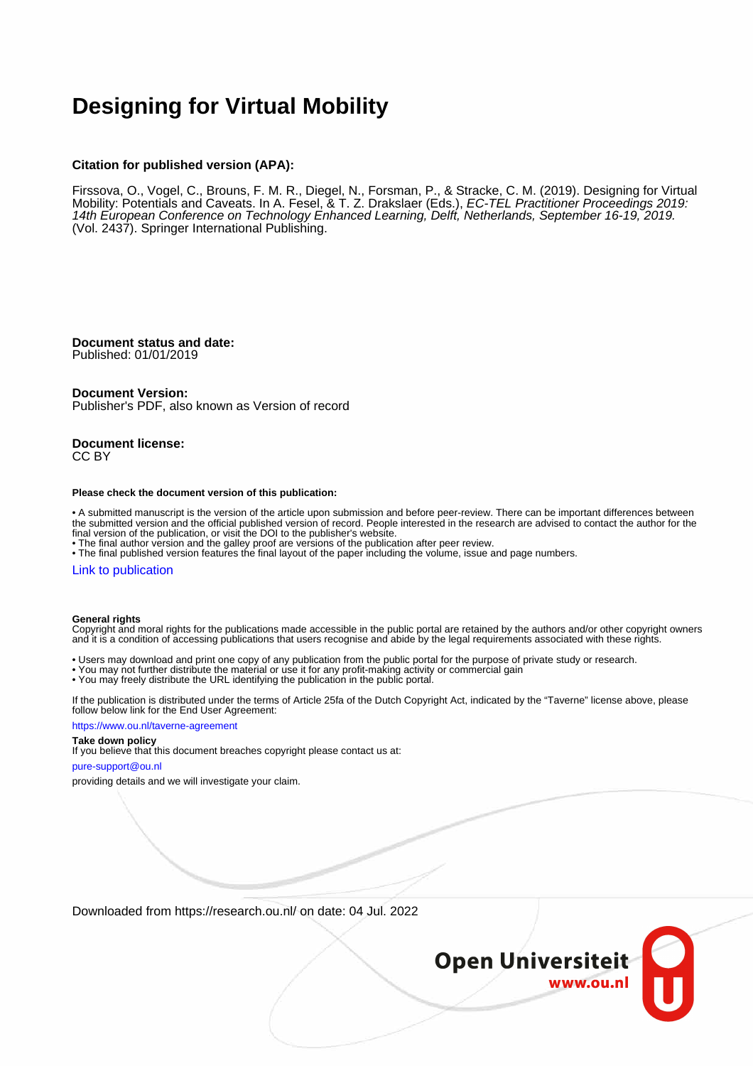# **Designing for Virtual Mobility**

#### **Citation for published version (APA):**

Firssova, O., Vogel, C., Brouns, F. M. R., Diegel, N., Forsman, P., & Stracke, C. M. (2019). Designing for Virtual Mobility: Potentials and Caveats. In A. Fesel, & T. Z. Drakslaer (Eds.), *EC-TEL Practitioner Proceedings 2019:* 14th European Conference on Technology Enhanced Learning, Delft, Netherlands, September 16-19, 2019. (Vol. 2437). Springer International Publishing.

# **Document status and date:**

Published: 01/01/2019

#### **Document Version:**

Publisher's PDF, also known as Version of record

#### **Document license:** CC BY

#### **Please check the document version of this publication:**

• A submitted manuscript is the version of the article upon submission and before peer-review. There can be important differences between the submitted version and the official published version of record. People interested in the research are advised to contact the author for the final version of the publication, or visit the DOI to the publisher's website.

• The final author version and the galley proof are versions of the publication after peer review.

• The final published version features the final layout of the paper including the volume, issue and page numbers.

#### [Link to publication](https://research.ou.nl/en/publications/7314cae4-98c9-428b-b949-222cbf54f86a)

#### **General rights**

Copyright and moral rights for the publications made accessible in the public portal are retained by the authors and/or other copyright owners and it is a condition of accessing publications that users recognise and abide by the legal requirements associated with these rights.

- Users may download and print one copy of any publication from the public portal for the purpose of private study or research.
- You may not further distribute the material or use it for any profit-making activity or commercial gain
- You may freely distribute the URL identifying the publication in the public portal.

If the publication is distributed under the terms of Article 25fa of the Dutch Copyright Act, indicated by the "Taverne" license above, please follow below link for the End User Agreement:

#### https://www.ou.nl/taverne-agreement

## **Take down policy**

If you believe that this document breaches copyright please contact us at:

#### pure-support@ou.nl

providing details and we will investigate your claim.

Downloaded from https://research.ou.nl/ on date: 04 Jul. 2022

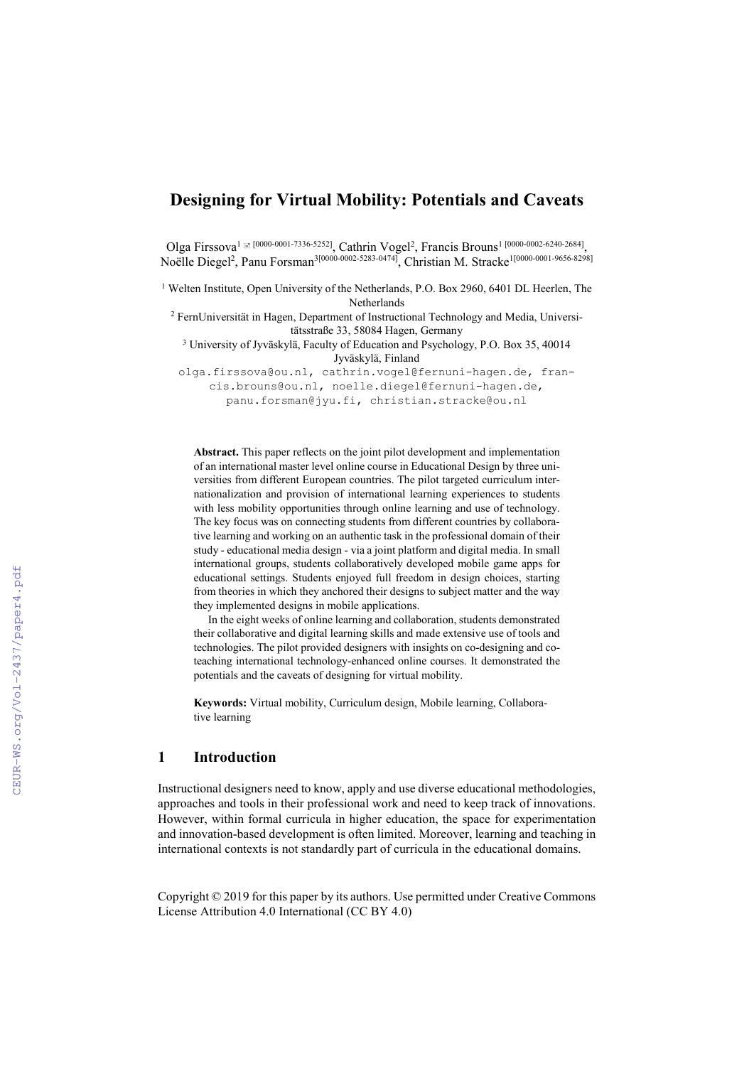# **Designing for Virtual Mobility: Potentials and Caveats**

Olga Firssova<sup>1</sup>  $\Xi$  [0000-0001-7336-5252], Cathrin Vogel<sup>2</sup>, Francis Brouns<sup>1</sup> [0000-0002-6240-2684], Noëlle Diegel<sup>2</sup>, Panu Forsman<sup>3[0000-0002-5283-0474]</sup>, Christian M. Stracke<sup>1[0000-0001-9656-8298]</sup>

<sup>1</sup> Welten Institute, Open University of the Netherlands, P.O. Box 2960, 6401 DL Heerlen, The **Netherlands** 

<sup>2</sup> FernUniversität in Hagen, Department of Instructional Technology and Media, Universitätsstraße 33, 58084 Hagen, Germany

<sup>3</sup> University of Jyväskylä, Faculty of Education and Psychology, P.O. Box 35, 40014 Jyväskylä, Finland

[olga.firssova@ou.nl,](mailto:olga.firssova@ou.nl) [cathrin.vogel@fernuni-hagen.de,](mailto:cathrin.vogel@fernuni-hagen.de) [fran](mailto:francis.brouns@ou.nl)[cis.brouns@ou.nl,](mailto:francis.brouns@ou.nl) [noelle.diegel@fernuni-hagen.de,](mailto:noelle.diegel@fernuni-hagen.de) [panu.forsman@jyu.fi,](mailto:panu.forsman@jyu.fi) christian.stracke@ou.nl

**Abstract.** This paper reflects on the joint pilot development and implementation of an international master level online course in Educational Design by three universities from different European countries. The pilot targeted curriculum internationalization and provision of international learning experiences to students with less mobility opportunities through online learning and use of technology. The key focus was on connecting students from different countries by collaborative learning and working on an authentic task in the professional domain of their study - educational media design - via a joint platform and digital media. In small international groups, students collaboratively developed mobile game apps for educational settings. Students enjoyed full freedom in design choices, starting from theories in which they anchored their designs to subject matter and the way they implemented designs in mobile applications.

In the eight weeks of online learning and collaboration, students demonstrated their collaborative and digital learning skills and made extensive use of tools and technologies. The pilot provided designers with insights on co-designing and coteaching international technology-enhanced online courses. It demonstrated the potentials and the caveats of designing for virtual mobility.

**Keywords:** Virtual mobility, Curriculum design, Mobile learning, Collaborative learning

## **1 Introduction**

Instructional designers need to know, apply and use diverse educational methodologies, approaches and tools in their professional work and need to keep track of innovations. However, within formal curricula in higher education, the space for experimentation and innovation-based development is often limited. Moreover, learning and teaching in international contexts is not standardly part of curricula in the educational domains.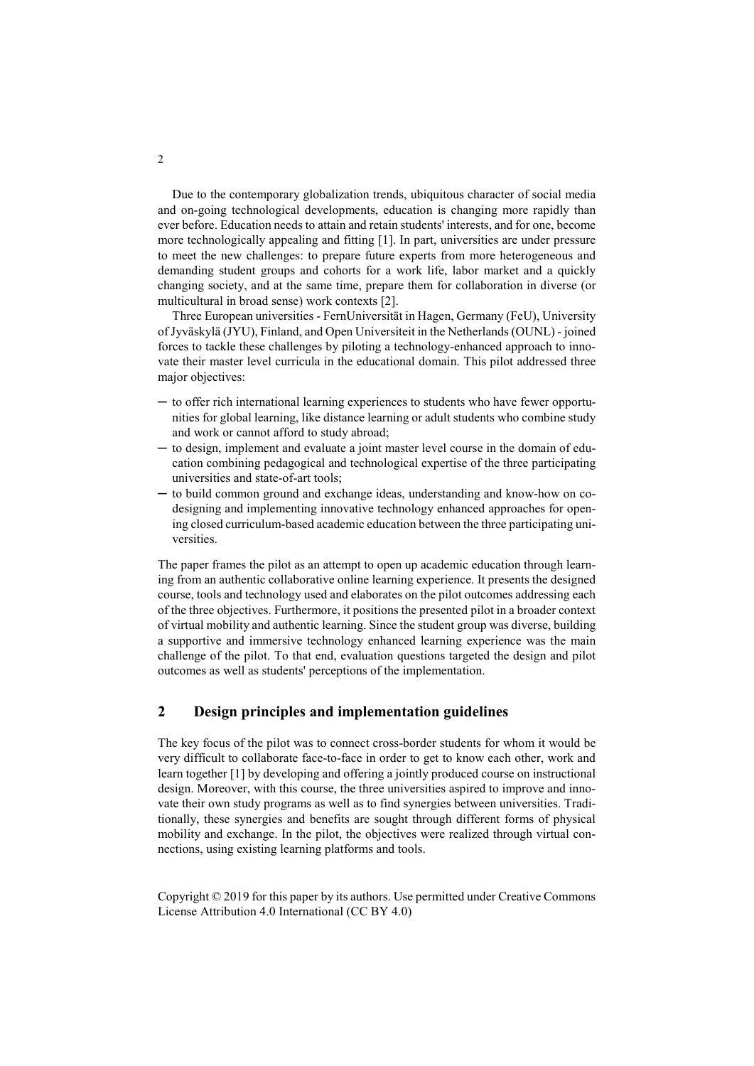Due to the contemporary globalization trends, ubiquitous character of social media and on-going technological developments, education is changing more rapidly than ever before. Education needs to attain and retain students' interests, and for one, become more technologically appealing and fitting [1]. In part, universities are under pressure to meet the new challenges: to prepare future experts from more heterogeneous and demanding student groups and cohorts for a work life, labor market and a quickly changing society, and at the same time, prepare them for collaboration in diverse (or multicultural in broad sense) work contexts [2].

Three European universities - FernUniversität in Hagen, Germany (FeU), University of Jyväskylä (JYU), Finland, and Open Universiteit in the Netherlands (OUNL) - joined forces to tackle these challenges by piloting a technology-enhanced approach to innovate their master level curricula in the educational domain. This pilot addressed three major objectives:

- ─ to offer rich international learning experiences to students who have fewer opportunities for global learning, like distance learning or adult students who combine study and work or cannot afford to study abroad;
- ─ to design, implement and evaluate a joint master level course in the domain of education combining pedagogical and technological expertise of the three participating universities and state-of-art tools;
- ─ to build common ground and exchange ideas, understanding and know-how on codesigning and implementing innovative technology enhanced approaches for opening closed curriculum-based academic education between the three participating universities.

The paper frames the pilot as an attempt to open up academic education through learning from an authentic collaborative online learning experience. It presents the designed course, tools and technology used and elaborates on the pilot outcomes addressing each of the three objectives. Furthermore, it positions the presented pilot in a broader context of virtual mobility and authentic learning. Since the student group was diverse, building a supportive and immersive technology enhanced learning experience was the main challenge of the pilot. To that end, evaluation questions targeted the design and pilot outcomes as well as students' perceptions of the implementation.

## **2 Design principles and implementation guidelines**

The key focus of the pilot was to connect cross-border students for whom it would be very difficult to collaborate face-to-face in order to get to know each other, work and learn together [1] by developing and offering a jointly produced course on instructional design. Moreover, with this course, the three universities aspired to improve and innovate their own study programs as well as to find synergies between universities. Traditionally, these synergies and benefits are sought through different forms of physical mobility and exchange. In the pilot, the objectives were realized through virtual connections, using existing learning platforms and tools.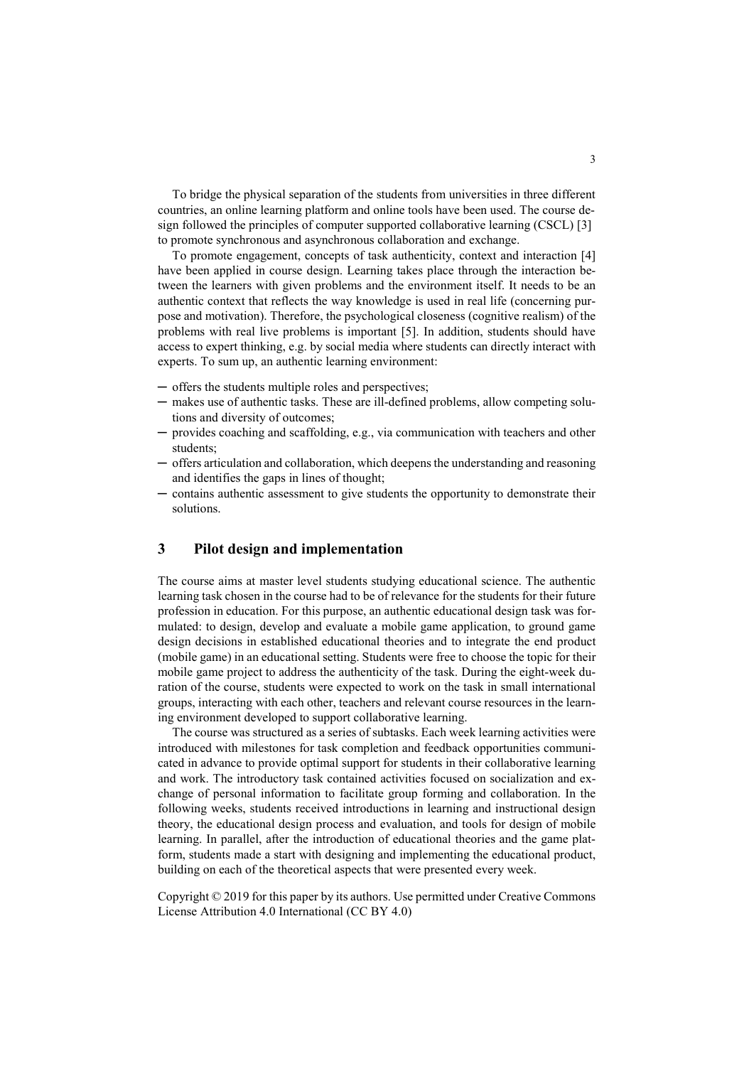To bridge the physical separation of the students from universities in three different countries, an online learning platform and online tools have been used. The course design followed the principles of computer supported collaborative learning (CSCL) [3] to promote synchronous and asynchronous collaboration and exchange.

To promote engagement, concepts of task authenticity, context and interaction [4] have been applied in course design. Learning takes place through the interaction between the learners with given problems and the environment itself. It needs to be an authentic context that reflects the way knowledge is used in real life (concerning purpose and motivation). Therefore, the psychological closeness (cognitive realism) of the problems with real live problems is important [5]. In addition, students should have access to expert thinking, e.g. by social media where students can directly interact with experts. To sum up, an authentic learning environment:

- ─ offers the students multiple roles and perspectives;
- ─ makes use of authentic tasks. These are ill-defined problems, allow competing solutions and diversity of outcomes;
- ─ provides coaching and scaffolding, e.g., via communication with teachers and other students;
- ─ offers articulation and collaboration, which deepens the understanding and reasoning and identifies the gaps in lines of thought;
- ─ contains authentic assessment to give students the opportunity to demonstrate their solutions.

## **3 Pilot design and implementation**

The course aims at master level students studying educational science. The authentic learning task chosen in the course had to be of relevance for the students for their future profession in education. For this purpose, an authentic educational design task was formulated: to design, develop and evaluate a mobile game application, to ground game design decisions in established educational theories and to integrate the end product (mobile game) in an educational setting. Students were free to choose the topic for their mobile game project to address the authenticity of the task. During the eight-week duration of the course, students were expected to work on the task in small international groups, interacting with each other, teachers and relevant course resources in the learning environment developed to support collaborative learning.

The course was structured as a series of subtasks. Each week learning activities were introduced with milestones for task completion and feedback opportunities communicated in advance to provide optimal support for students in their collaborative learning and work. The introductory task contained activities focused on socialization and exchange of personal information to facilitate group forming and collaboration. In the following weeks, students received introductions in learning and instructional design theory, the educational design process and evaluation, and tools for design of mobile learning. In parallel, after the introduction of educational theories and the game platform, students made a start with designing and implementing the educational product, building on each of the theoretical aspects that were presented every week.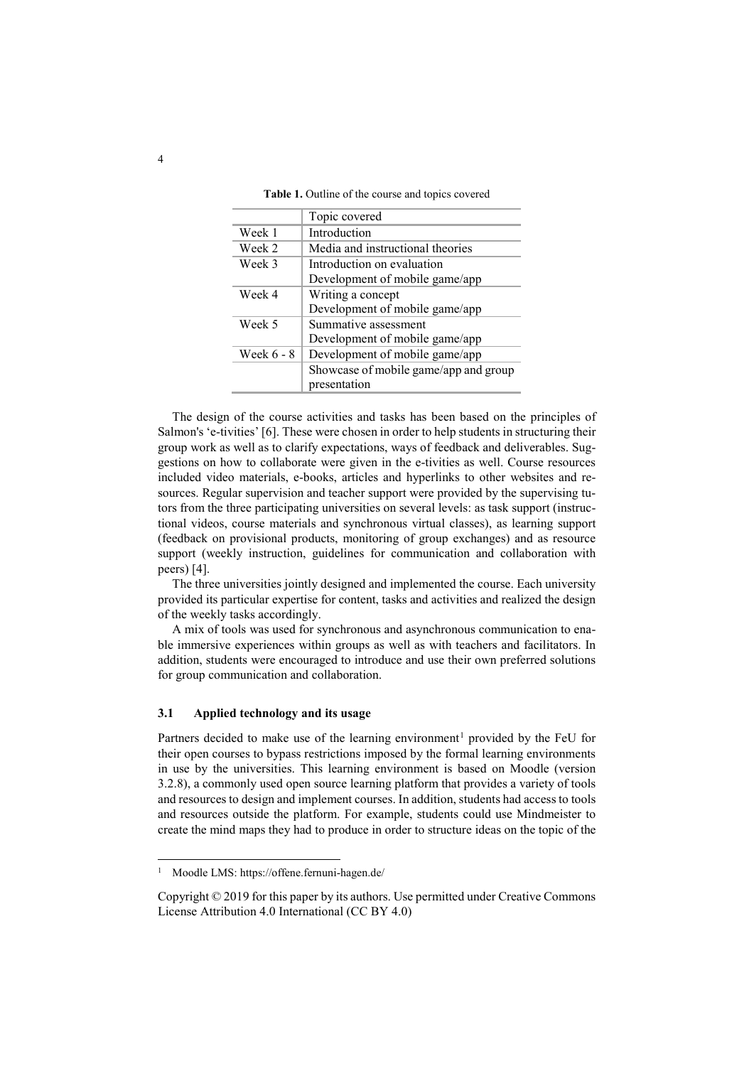|              | Topic covered                         |
|--------------|---------------------------------------|
| Week 1       | Introduction                          |
| Week 2       | Media and instructional theories      |
| Week 3       | Introduction on evaluation            |
|              | Development of mobile game/app        |
| Week 4       | Writing a concept                     |
|              | Development of mobile game/app        |
| Week 5       | Summative assessment                  |
|              | Development of mobile game/app        |
| Week $6 - 8$ | Development of mobile game/app        |
|              | Showcase of mobile game/app and group |
|              | presentation                          |

**Table 1.** Outline of the course and topics covered

The design of the course activities and tasks has been based on the principles of Salmon's 'e-tivities' [6]. These were chosen in order to help students in structuring their group work as well as to clarify expectations, ways of feedback and deliverables. Suggestions on how to collaborate were given in the e-tivities as well. Course resources included video materials, e-books, articles and hyperlinks to other websites and resources. Regular supervision and teacher support were provided by the supervising tutors from the three participating universities on several levels: as task support (instructional videos, course materials and synchronous virtual classes), as learning support (feedback on provisional products, monitoring of group exchanges) and as resource support (weekly instruction, guidelines for communication and collaboration with peers) [4].

The three universities jointly designed and implemented the course. Each university provided its particular expertise for content, tasks and activities and realized the design of the weekly tasks accordingly.

A mix of tools was used for synchronous and asynchronous communication to enable immersive experiences within groups as well as with teachers and facilitators. In addition, students were encouraged to introduce and use their own preferred solutions for group communication and collaboration.

#### **3.1 Applied technology and its usage**

Partners decided to make use of the learning environment<sup>[1](#page-4-0)</sup> provided by the FeU for their open courses to bypass restrictions imposed by the formal learning environments in use by the universities. This learning environment is based on Moodle (version 3.2.8), a commonly used open source learning platform that provides a variety of tools and resources to design and implement courses. In addition, students had access to tools and resources outside the platform. For example, students could use Mindmeister to create the mind maps they had to produce in order to structure ideas on the topic of the

<span id="page-4-0"></span> <sup>1</sup> Moodle LMS: https://offene.fernuni-hagen.de/

Copyright © 2019 for this paper by its authors. Use permitted under Creative Commons License Attribution 4.0 International (CC BY 4.0)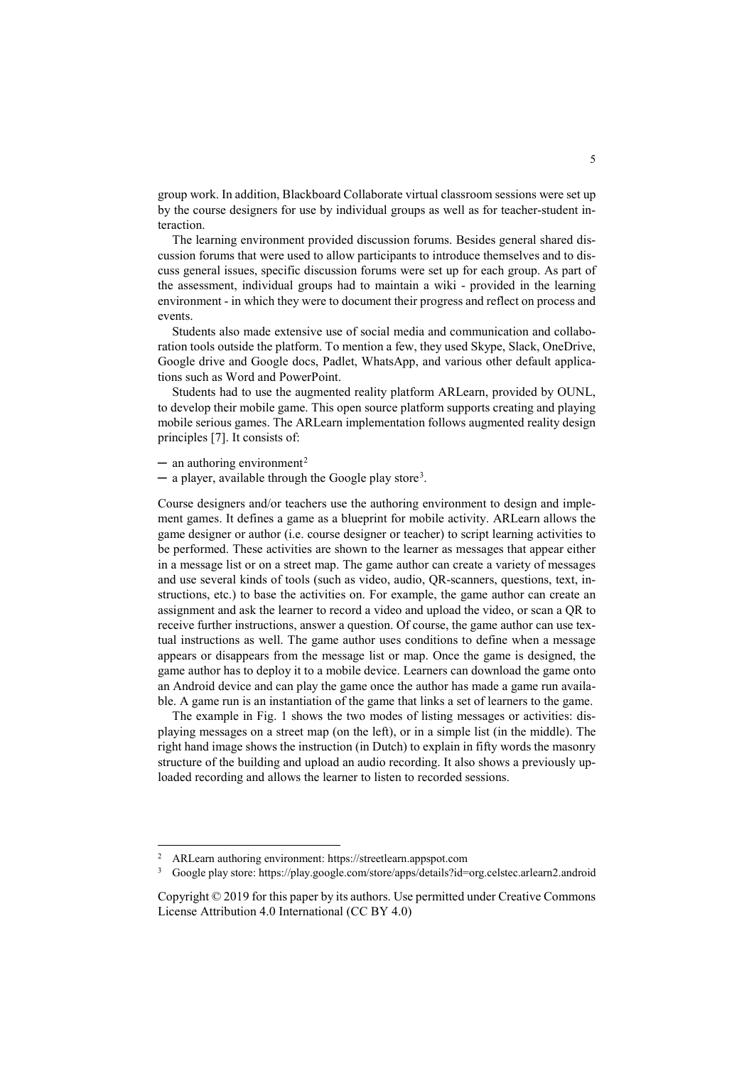group work. In addition, Blackboard Collaborate virtual classroom sessions were set up by the course designers for use by individual groups as well as for teacher-student interaction.

The learning environment provided discussion forums. Besides general shared discussion forums that were used to allow participants to introduce themselves and to discuss general issues, specific discussion forums were set up for each group. As part of the assessment, individual groups had to maintain a wiki - provided in the learning environment - in which they were to document their progress and reflect on process and events.

Students also made extensive use of social media and communication and collaboration tools outside the platform. To mention a few, they used Skype, Slack, OneDrive, Google drive and Google docs, Padlet, WhatsApp, and various other default applications such as Word and PowerPoint.

Students had to use the augmented reality platform ARLearn, provided by OUNL, to develop their mobile game. This open source platform supports creating and playing mobile serious games. The ARLearn implementation follows augmented reality design principles [7]. It consists of:

 $-$  an [authoring environment](https://streetlearn.appspot.com/)<sup>[2](#page-5-0)</sup>

 $-$  a player, available through the [Google play store](https://play.google.com/store/apps/details?id=org.celstec.arlearn2.android)<sup>[3](#page-5-1)</sup>.

Course designers and/or teachers use the authoring environment to design and implement games. It defines a game as a blueprint for mobile activity. ARLearn allows the game designer or author (i.e. course designer or teacher) to script learning activities to be performed. These activities are shown to the learner as messages that appear either in a message list or on a street map. The game author can create a variety of messages and use several kinds of tools (such as video, audio, QR-scanners, questions, text, instructions, etc.) to base the activities on. For example, the game author can create an assignment and ask the learner to record a video and upload the video, or scan a QR to receive further instructions, answer a question. Of course, the game author can use textual instructions as well. The game author uses conditions to define when a message appears or disappears from the message list or map. Once the game is designed, the game author has to deploy it to a mobile device. Learners can download the game onto an Android device and can play the game once the author has made a game run available. A game run is an instantiation of the game that links a set of learners to the game.

The example in Fig. 1 shows the two modes of listing messages or activities: displaying messages on a street map (on the left), or in a simple list (in the middle). The right hand image shows the instruction (in Dutch) to explain in fifty words the masonry structure of the building and upload an audio recording. It also shows a previously uploaded recording and allows the learner to listen to recorded sessions.

<span id="page-5-0"></span> <sup>2</sup> ARLearn authoring environment: https://streetlearn.appspot.com

<span id="page-5-1"></span><sup>3</sup> Google play store: https://play.google.com/store/apps/details?id=org.celstec.arlearn2.android

Copyright © 2019 for this paper by its authors. Use permitted under Creative Commons License Attribution 4.0 International (CC BY 4.0)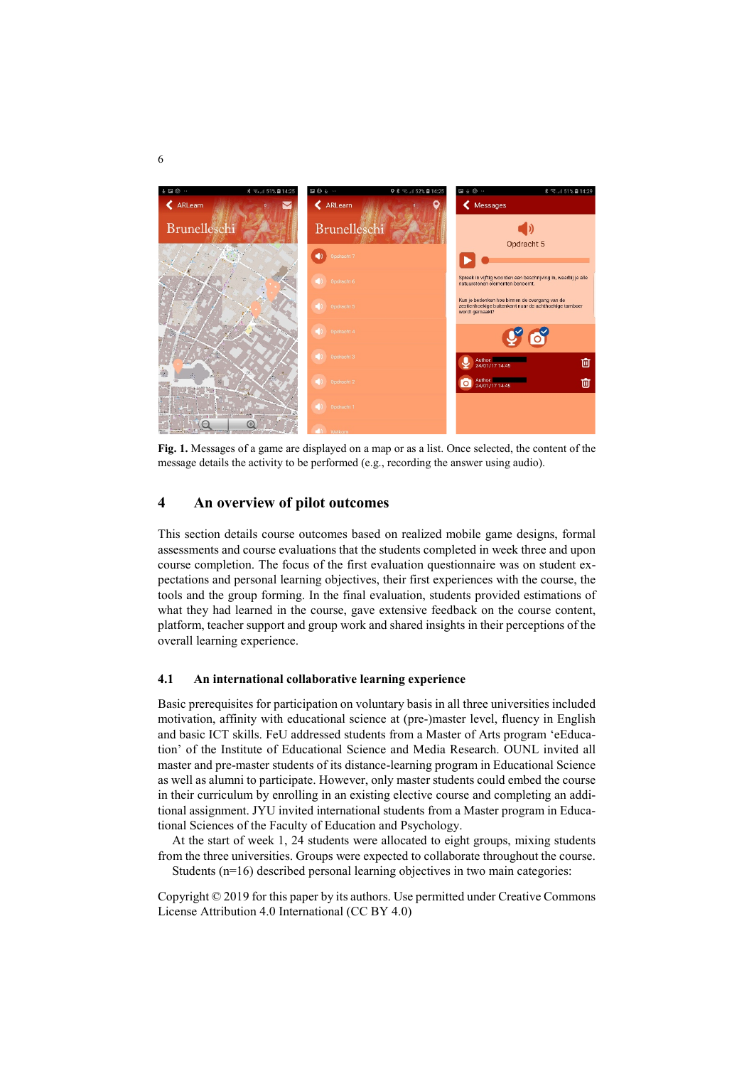

**Fig. 1.** Messages of a game are displayed on a map or as a list. Once selected, the content of the message details the activity to be performed (e.g., recording the answer using audio).

## **4 An overview of pilot outcomes**

This section details course outcomes based on realized mobile game designs, formal assessments and course evaluations that the students completed in week three and upon course completion. The focus of the first evaluation questionnaire was on student expectations and personal learning objectives, their first experiences with the course, the tools and the group forming. In the final evaluation, students provided estimations of what they had learned in the course, gave extensive feedback on the course content, platform, teacher support and group work and shared insights in their perceptions of the overall learning experience.

#### **4.1 An international collaborative learning experience**

Basic prerequisites for participation on voluntary basis in all three universities included motivation, affinity with educational science at (pre-)master level, fluency in English and basic ICT skills. FeU addressed students from a Master of Arts program 'eEducation' of the Institute of Educational Science and Media Research. OUNL invited all master and pre-master students of its distance-learning program in Educational Science as well as alumni to participate. However, only master students could embed the course in their curriculum by enrolling in an existing elective course and completing an additional assignment. JYU invited international students from a Master program in Educational Sciences of the Faculty of Education and Psychology.

At the start of week 1, 24 students were allocated to eight groups, mixing students from the three universities. Groups were expected to collaborate throughout the course.

Students (n=16) described personal learning objectives in two main categories: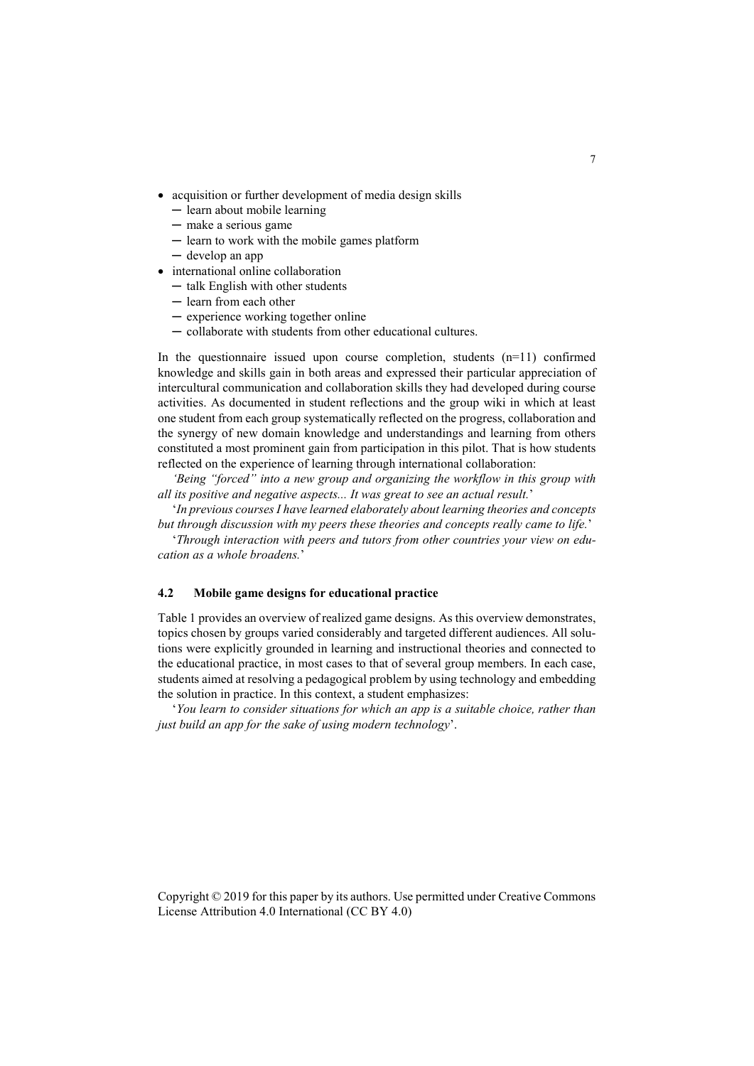- acquisition or further development of media design skills
	- ─ learn about mobile learning
	- ─ make a serious game
	- ─ learn to work with the mobile games platform
	- ─ develop an app
- international online collaboration
	- ─ talk English with other students
	- ─ learn from each other
	- ─ experience working together online
	- ─ collaborate with students from other educational cultures.

In the questionnaire issued upon course completion, students  $(n=11)$  confirmed knowledge and skills gain in both areas and expressed their particular appreciation of intercultural communication and collaboration skills they had developed during course activities. As documented in student reflections and the group wiki in which at least one student from each group systematically reflected on the progress, collaboration and the synergy of new domain knowledge and understandings and learning from others constituted a most prominent gain from participation in this pilot. That is how students reflected on the experience of learning through international collaboration:

*'Being "forced" into a new group and organizing the workflow in this group with all its positive and negative aspects... It was great to see an actual result.*'

'*In previous courses I have learned elaborately about learning theories and concepts but through discussion with my peers these theories and concepts really came to life.*'

'*Through interaction with peers and tutors from other countries your view on education as a whole broadens.*'

#### **4.2 Mobile game designs for educational practice**

Table 1 provides an overview of realized game designs. As this overview demonstrates, topics chosen by groups varied considerably and targeted different audiences. All solutions were explicitly grounded in learning and instructional theories and connected to the educational practice, in most cases to that of several group members. In each case, students aimed at resolving a pedagogical problem by using technology and embedding the solution in practice. In this context, a student emphasizes:

'*You learn to consider situations for which an app is a suitable choice, rather than just build an app for the sake of using modern technology*'.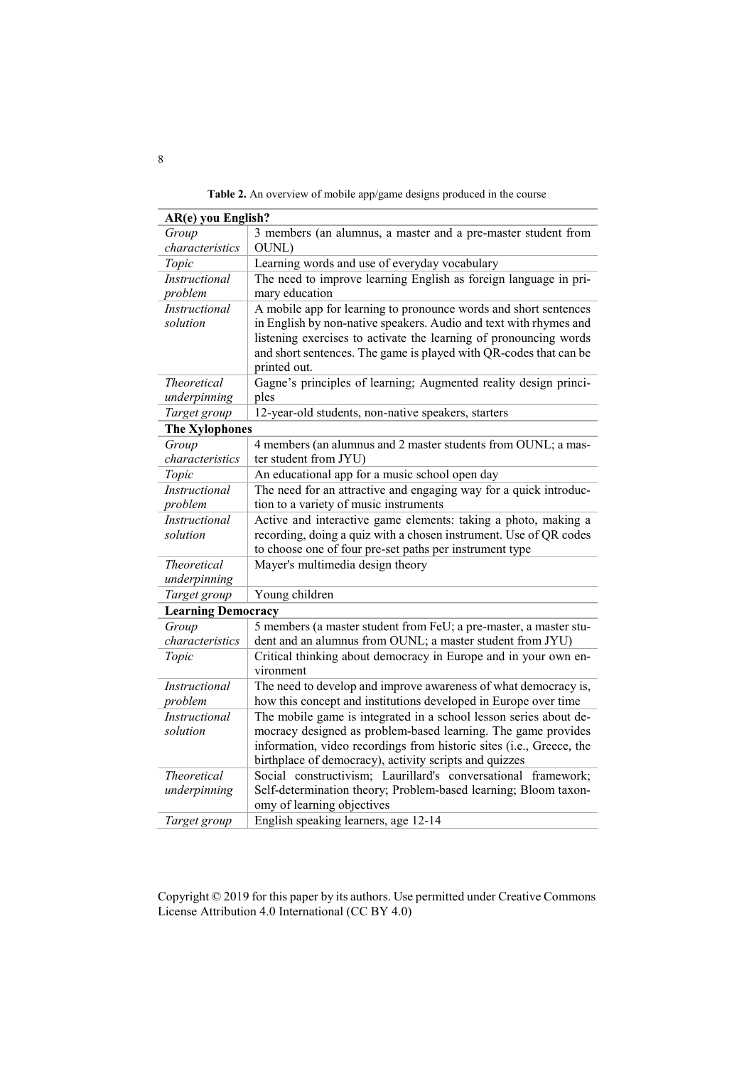**Table 2.** An overview of mobile app/game designs produced in the course

| AR(e) you English?        |                                                                      |  |
|---------------------------|----------------------------------------------------------------------|--|
| Group                     | 3 members (an alumnus, a master and a pre-master student from        |  |
| characteristics           | OUNL)                                                                |  |
| Topic                     | Learning words and use of everyday vocabulary                        |  |
| Instructional             | The need to improve learning English as foreign language in pri-     |  |
| problem                   | mary education                                                       |  |
| Instructional             | A mobile app for learning to pronounce words and short sentences     |  |
| solution                  | in English by non-native speakers. Audio and text with rhymes and    |  |
|                           | listening exercises to activate the learning of pronouncing words    |  |
|                           | and short sentences. The game is played with QR-codes that can be    |  |
|                           | printed out.                                                         |  |
| <b>Theoretical</b>        | Gagne's principles of learning; Augmented reality design princi-     |  |
| underpinning              | ples                                                                 |  |
| Target group              | 12-year-old students, non-native speakers, starters                  |  |
| <b>The Xylophones</b>     |                                                                      |  |
| Group                     | 4 members (an alumnus and 2 master students from OUNL; a mas-        |  |
| characteristics           | ter student from JYU)                                                |  |
| Topic                     | An educational app for a music school open day                       |  |
| Instructional             | The need for an attractive and engaging way for a quick introduc-    |  |
| problem                   | tion to a variety of music instruments                               |  |
| Instructional             | Active and interactive game elements: taking a photo, making a       |  |
| solution                  | recording, doing a quiz with a chosen instrument. Use of QR codes    |  |
|                           | to choose one of four pre-set paths per instrument type              |  |
| <b>Theoretical</b>        | Mayer's multimedia design theory                                     |  |
| underpinning              |                                                                      |  |
| Target group              | Young children                                                       |  |
| <b>Learning Democracy</b> |                                                                      |  |
| Group                     | 5 members (a master student from FeU; a pre-master, a master stu-    |  |
| characteristics           | dent and an alumnus from OUNL; a master student from JYU)            |  |
| Topic                     | Critical thinking about democracy in Europe and in your own en-      |  |
|                           | vironment                                                            |  |
| Instructional             | The need to develop and improve awareness of what democracy is,      |  |
| problem                   | how this concept and institutions developed in Europe over time      |  |
| <b>Instructional</b>      | The mobile game is integrated in a school lesson series about de-    |  |
| solution                  | mocracy designed as problem-based learning. The game provides        |  |
|                           | information, video recordings from historic sites (i.e., Greece, the |  |
| <b>Theoretical</b>        | birthplace of democracy), activity scripts and quizzes               |  |
|                           | Social constructivism; Laurillard's conversational framework;        |  |
| underpinning              | Self-determination theory; Problem-based learning; Bloom taxon-      |  |
|                           | omy of learning objectives                                           |  |
| Target group              | English speaking learners, age 12-14                                 |  |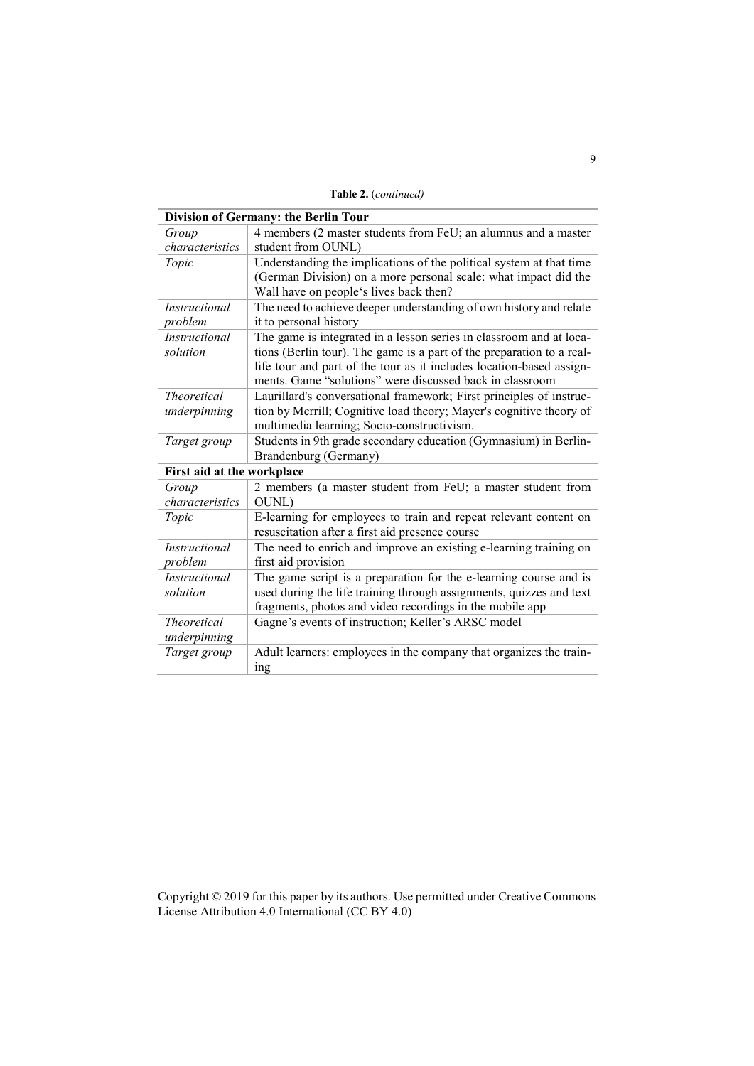**Table 2.** (*continued)*

| Division of Germany: the Berlin Tour |                                                                                      |  |
|--------------------------------------|--------------------------------------------------------------------------------------|--|
| Group<br>characteristics             | 4 members (2 master students from FeU; an alumnus and a master<br>student from OUNL) |  |
| Topic                                | Understanding the implications of the political system at that time                  |  |
|                                      | (German Division) on a more personal scale: what impact did the                      |  |
|                                      | Wall have on people's lives back then?                                               |  |
| <i>Instructional</i>                 | The need to achieve deeper understanding of own history and relate                   |  |
| problem                              | it to personal history                                                               |  |
|                                      |                                                                                      |  |
| <i>Instructional</i>                 | The game is integrated in a lesson series in classroom and at loca-                  |  |
| solution                             | tions (Berlin tour). The game is a part of the preparation to a real-                |  |
|                                      | life tour and part of the tour as it includes location-based assign-                 |  |
|                                      | ments. Game "solutions" were discussed back in classroom                             |  |
| <i>Theoretical</i>                   | Laurillard's conversational framework; First principles of instruc-                  |  |
| underpinning                         | tion by Merrill; Cognitive load theory; Mayer's cognitive theory of                  |  |
|                                      | multimedia learning; Socio-constructivism.                                           |  |
| Target group                         | Students in 9th grade secondary education (Gymnasium) in Berlin-                     |  |
|                                      | Brandenburg (Germany)                                                                |  |
| First aid at the workplace           |                                                                                      |  |
| Group                                | 2 members (a master student from FeU; a master student from                          |  |
| characteristics                      | OUNL)                                                                                |  |
| Topic                                | E-learning for employees to train and repeat relevant content on                     |  |
|                                      | resuscitation after a first aid presence course                                      |  |
| <i>Instructional</i>                 | The need to enrich and improve an existing e-learning training on                    |  |
| problem                              | first aid provision                                                                  |  |
| <i>Instructional</i>                 | The game script is a preparation for the e-learning course and is                    |  |
| solution                             | used during the life training through assignments, quizzes and text                  |  |
|                                      | fragments, photos and video recordings in the mobile app                             |  |
| <b>Theoretical</b>                   | Gagne's events of instruction; Keller's ARSC model                                   |  |
| underpinning                         |                                                                                      |  |
| Target group                         | Adult learners: employees in the company that organizes the train-                   |  |
|                                      | ing                                                                                  |  |
|                                      |                                                                                      |  |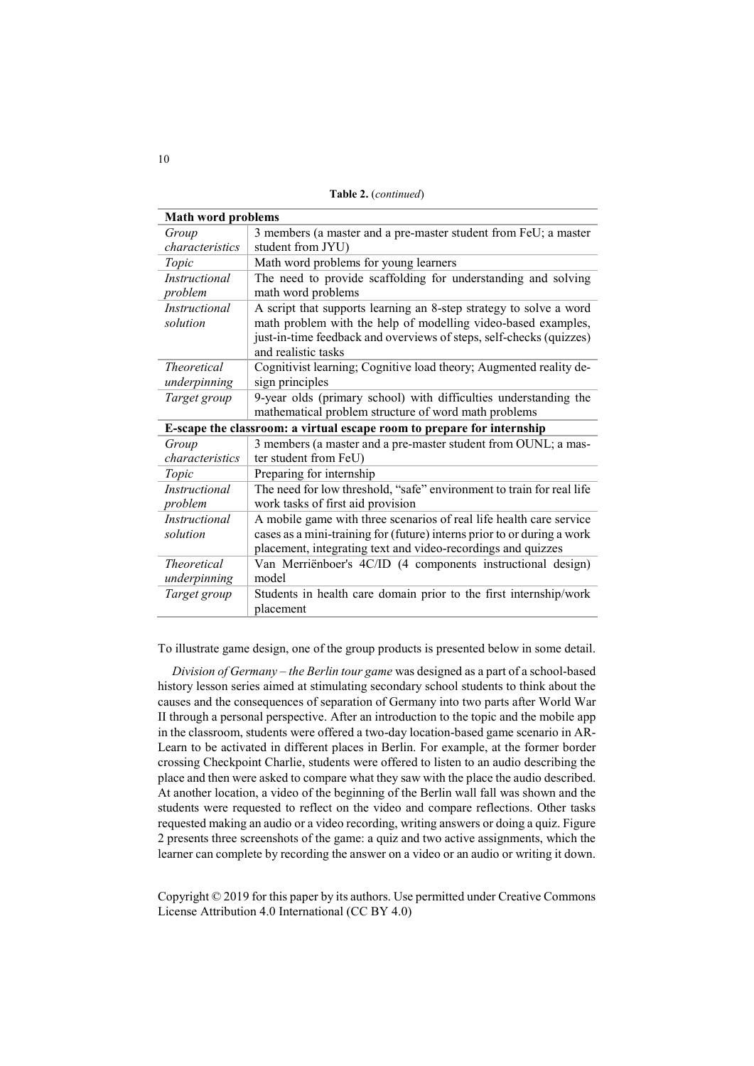**Table 2.** (*continued*)

| <b>Math word problems</b>                                              |                                                                         |
|------------------------------------------------------------------------|-------------------------------------------------------------------------|
| Group                                                                  | 3 members (a master and a pre-master student from FeU; a master         |
| characteristics                                                        | student from JYU)                                                       |
| Topic                                                                  | Math word problems for young learners                                   |
| <i>Instructional</i>                                                   | The need to provide scaffolding for understanding and solving           |
| problem                                                                | math word problems                                                      |
| <i>Instructional</i>                                                   | A script that supports learning an 8-step strategy to solve a word      |
| solution                                                               | math problem with the help of modelling video-based examples,           |
|                                                                        | just-in-time feedback and overviews of steps, self-checks (quizzes)     |
|                                                                        | and realistic tasks                                                     |
| <i>Theoretical</i>                                                     | Cognitivist learning; Cognitive load theory; Augmented reality de-      |
| underpinning                                                           | sign principles                                                         |
| Target group                                                           | 9-year olds (primary school) with difficulties understanding the        |
|                                                                        | mathematical problem structure of word math problems                    |
| E-scape the classroom: a virtual escape room to prepare for internship |                                                                         |
| Group                                                                  | 3 members (a master and a pre-master student from OUNL; a mas-          |
| characteristics                                                        | ter student from FeU)                                                   |
| Topic                                                                  | Preparing for internship                                                |
| <i>Instructional</i>                                                   | The need for low threshold, "safe" environment to train for real life   |
| problem                                                                | work tasks of first aid provision                                       |
| <i>Instructional</i>                                                   | A mobile game with three scenarios of real life health care service     |
| solution                                                               | cases as a mini-training for (future) interns prior to or during a work |
|                                                                        | placement, integrating text and video-recordings and quizzes            |
| <i>Theoretical</i>                                                     | Van Merriënboer's 4C/ID (4 components instructional design)             |
| underpinning                                                           | model                                                                   |
| Target group                                                           | Students in health care domain prior to the first internship/work       |
|                                                                        | placement                                                               |

To illustrate game design, one of the group products is presented below in some detail.

*Division of Germany – the Berlin tour game* was designed as a part of a school-based history lesson series aimed at stimulating secondary school students to think about the causes and the consequences of separation of Germany into two parts after World War II through a personal perspective. After an introduction to the topic and the mobile app in the classroom, students were offered a two-day location-based game scenario in AR-Learn to be activated in different places in Berlin. For example, at the former border crossing Checkpoint Charlie, students were offered to listen to an audio describing the place and then were asked to compare what they saw with the place the audio described. At another location, a video of the beginning of the Berlin wall fall was shown and the students were requested to reflect on the video and compare reflections. Other tasks requested making an audio or a video recording, writing answers or doing a quiz. Figure 2 presents three screenshots of the game: a quiz and two active assignments, which the learner can complete by recording the answer on a video or an audio or writing it down.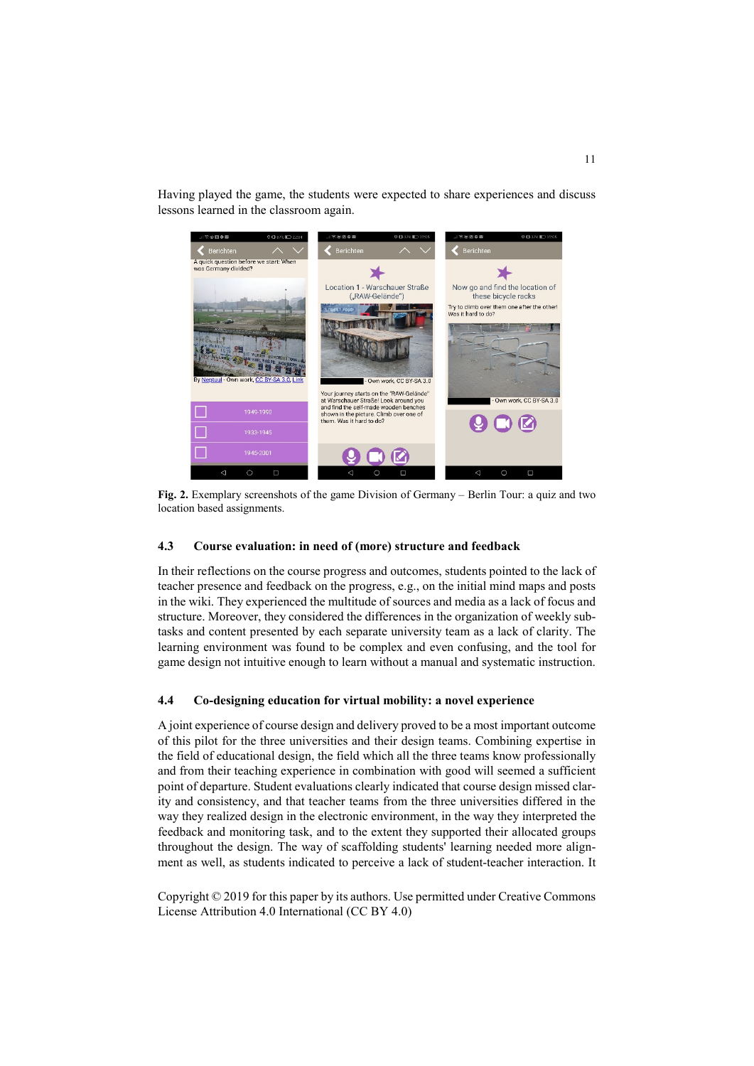Having played the game, the students were expected to share experiences and discuss lessons learned in the classroom again.



**Fig. 2.** Exemplary screenshots of the game Division of Germany – Berlin Tour: a quiz and two location based assignments.

### **4.3 Course evaluation: in need of (more) structure and feedback**

In their reflections on the course progress and outcomes, students pointed to the lack of teacher presence and feedback on the progress, e.g., on the initial mind maps and posts in the wiki. They experienced the multitude of sources and media as a lack of focus and structure. Moreover, they considered the differences in the organization of weekly subtasks and content presented by each separate university team as a lack of clarity. The learning environment was found to be complex and even confusing, and the tool for game design not intuitive enough to learn without a manual and systematic instruction.

## **4.4 Co-designing education for virtual mobility: a novel experience**

A joint experience of course design and delivery proved to be a most important outcome of this pilot for the three universities and their design teams. Combining expertise in the field of educational design, the field which all the three teams know professionally and from their teaching experience in combination with good will seemed a sufficient point of departure. Student evaluations clearly indicated that course design missed clarity and consistency, and that teacher teams from the three universities differed in the way they realized design in the electronic environment, in the way they interpreted the feedback and monitoring task, and to the extent they supported their allocated groups throughout the design. The way of scaffolding students' learning needed more alignment as well, as students indicated to perceive a lack of student-teacher interaction. It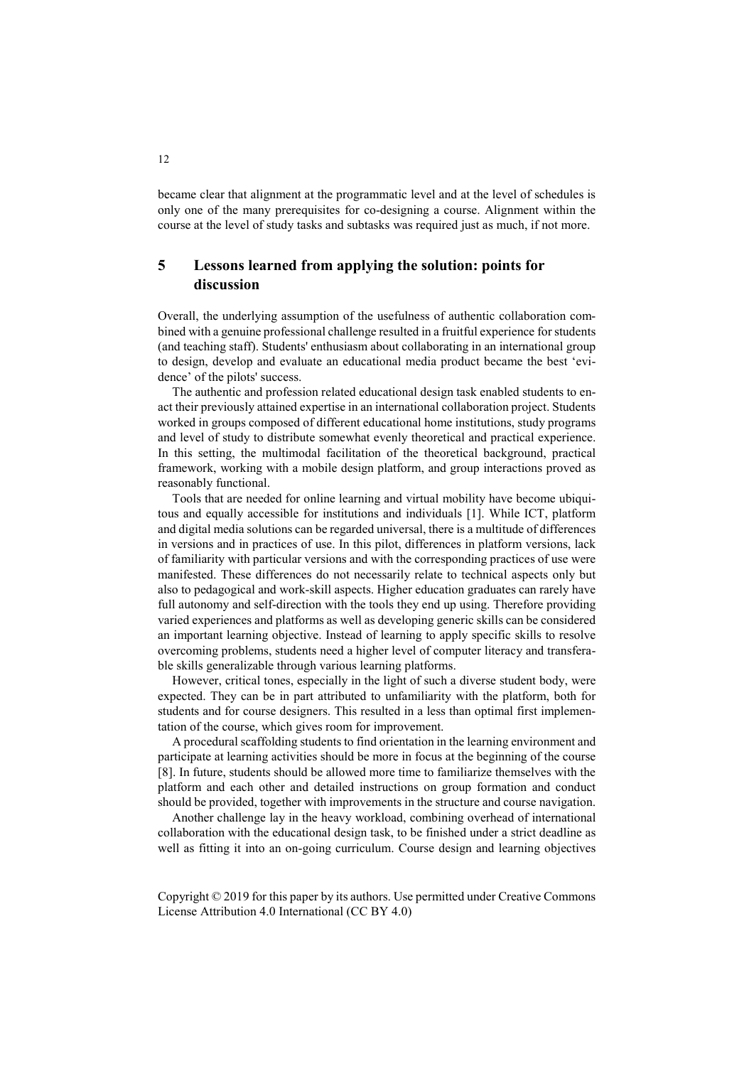became clear that alignment at the programmatic level and at the level of schedules is only one of the many prerequisites for co-designing a course. Alignment within the course at the level of study tasks and subtasks was required just as much, if not more.

# **5 Lessons learned from applying the solution: points for discussion**

Overall, the underlying assumption of the usefulness of authentic collaboration combined with a genuine professional challenge resulted in a fruitful experience for students (and teaching staff). Students' enthusiasm about collaborating in an international group to design, develop and evaluate an educational media product became the best 'evidence' of the pilots' success.

The authentic and profession related educational design task enabled students to enact their previously attained expertise in an international collaboration project. Students worked in groups composed of different educational home institutions, study programs and level of study to distribute somewhat evenly theoretical and practical experience. In this setting, the multimodal facilitation of the theoretical background, practical framework, working with a mobile design platform, and group interactions proved as reasonably functional.

Tools that are needed for online learning and virtual mobility have become ubiquitous and equally accessible for institutions and individuals [1]. While ICT, platform and digital media solutions can be regarded universal, there is a multitude of differences in versions and in practices of use. In this pilot, differences in platform versions, lack of familiarity with particular versions and with the corresponding practices of use were manifested. These differences do not necessarily relate to technical aspects only but also to pedagogical and work-skill aspects. Higher education graduates can rarely have full autonomy and self-direction with the tools they end up using. Therefore providing varied experiences and platforms as well as developing generic skills can be considered an important learning objective. Instead of learning to apply specific skills to resolve overcoming problems, students need a higher level of computer literacy and transferable skills generalizable through various learning platforms.

However, critical tones, especially in the light of such a diverse student body, were expected. They can be in part attributed to unfamiliarity with the platform, both for students and for course designers. This resulted in a less than optimal first implementation of the course, which gives room for improvement.

A procedural scaffolding students to find orientation in the learning environment and participate at learning activities should be more in focus at the beginning of the course [8]. In future, students should be allowed more time to familiarize themselves with the platform and each other and detailed instructions on group formation and conduct should be provided, together with improvements in the structure and course navigation.

Another challenge lay in the heavy workload, combining overhead of international collaboration with the educational design task, to be finished under a strict deadline as well as fitting it into an on-going curriculum. Course design and learning objectives